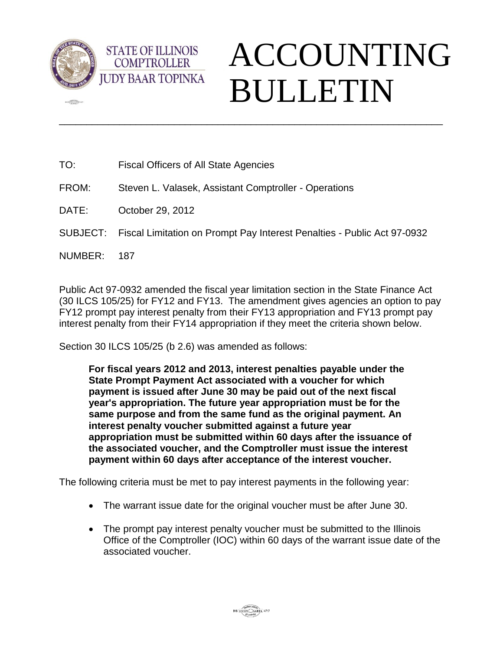

 $\sqrt{2}$ 



TO: Fiscal Officers of All State Agencies

**STATE OF ILLINOIS COMPTROLLER** 

- FROM: Steven L. Valasek, Assistant Comptroller Operations
- DATE: October 29, 2012
- SUBJECT: Fiscal Limitation on Prompt Pay Interest Penalties Public Act 97-0932

\_\_\_\_\_\_\_\_\_\_\_\_\_\_\_\_\_\_\_\_\_\_\_\_\_\_\_\_\_\_\_\_\_\_\_\_\_\_\_\_\_\_\_\_\_\_\_\_\_\_\_\_\_\_\_\_\_\_\_\_\_\_\_\_\_\_\_\_\_\_

NUMBER: 187

Public Act 97-0932 amended the fiscal year limitation section in the State Finance Act (30 ILCS 105/25) for FY12 and FY13. The amendment gives agencies an option to pay FY12 prompt pay interest penalty from their FY13 appropriation and FY13 prompt pay interest penalty from their FY14 appropriation if they meet the criteria shown below.

Section 30 ILCS 105/25 (b 2.6) was amended as follows:

**For fiscal years 2012 and 2013, interest penalties payable under the State Prompt Payment Act associated with a voucher for which payment is issued after June 30 may be paid out of the next fiscal year's appropriation. The future year appropriation must be for the same purpose and from the same fund as the original payment. An interest penalty voucher submitted against a future year appropriation must be submitted within 60 days after the issuance of the associated voucher, and the Comptroller must issue the interest payment within 60 days after acceptance of the interest voucher.** 

The following criteria must be met to pay interest payments in the following year:

- The warrant issue date for the original voucher must be after June 30.
- The prompt pay interest penalty voucher must be submitted to the Illinois Office of the Comptroller (IOC) within 60 days of the warrant issue date of the associated voucher.